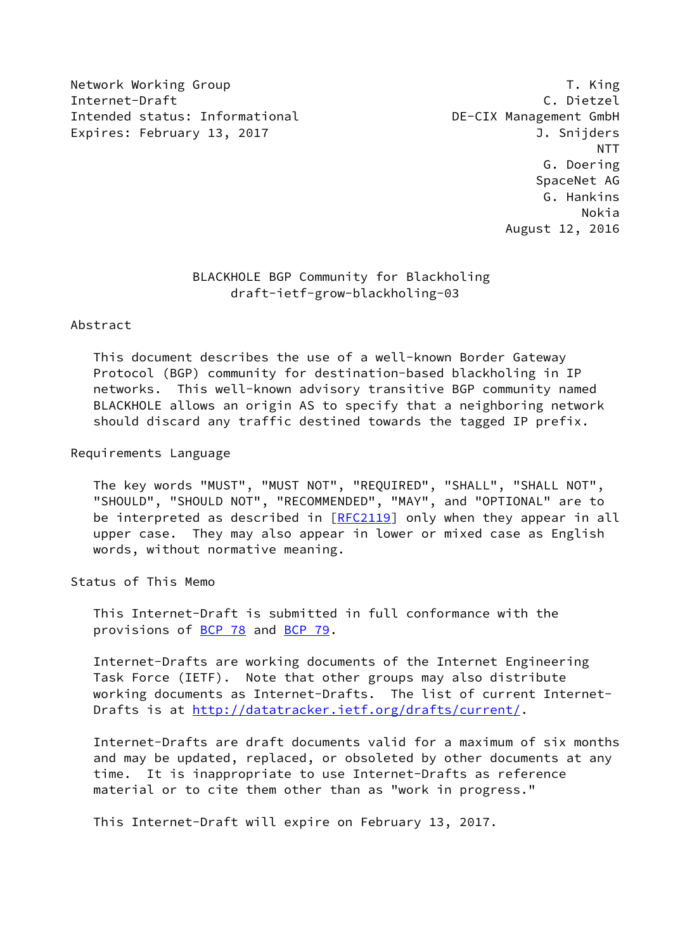Network Working Group T. King Internet-Draft C. Dietzel Intended status: Informational DE-CIX Management GmbH Expires: February 13, 2017 **I. S. Expires: February 13, 2017** 

 NTT G. Doering SpaceNet AG G. Hankins Nokia August 12, 2016

# BLACKHOLE BGP Community for Blackholing draft-ietf-grow-blackholing-03

### Abstract

 This document describes the use of a well-known Border Gateway Protocol (BGP) community for destination-based blackholing in IP networks. This well-known advisory transitive BGP community named BLACKHOLE allows an origin AS to specify that a neighboring network should discard any traffic destined towards the tagged IP prefix.

### Requirements Language

 The key words "MUST", "MUST NOT", "REQUIRED", "SHALL", "SHALL NOT", "SHOULD", "SHOULD NOT", "RECOMMENDED", "MAY", and "OPTIONAL" are to be interpreted as described in  $[REC2119]$  only when they appear in all upper case. They may also appear in lower or mixed case as English words, without normative meaning.

Status of This Memo

 This Internet-Draft is submitted in full conformance with the provisions of [BCP 78](https://datatracker.ietf.org/doc/pdf/bcp78) and [BCP 79](https://datatracker.ietf.org/doc/pdf/bcp79).

 Internet-Drafts are working documents of the Internet Engineering Task Force (IETF). Note that other groups may also distribute working documents as Internet-Drafts. The list of current Internet Drafts is at<http://datatracker.ietf.org/drafts/current/>.

 Internet-Drafts are draft documents valid for a maximum of six months and may be updated, replaced, or obsoleted by other documents at any time. It is inappropriate to use Internet-Drafts as reference material or to cite them other than as "work in progress."

This Internet-Draft will expire on February 13, 2017.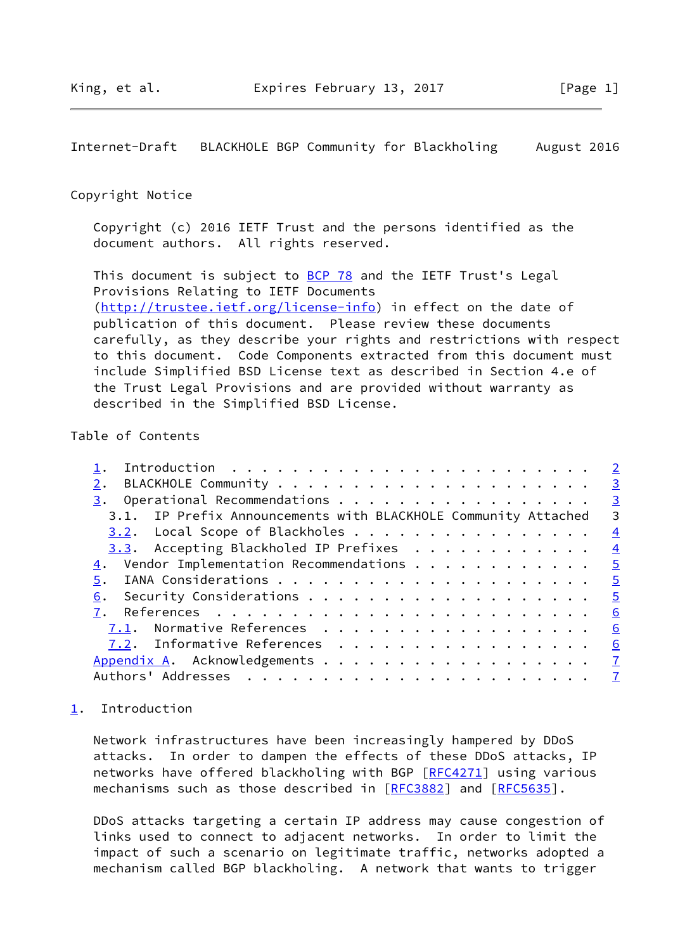<span id="page-1-1"></span>Internet-Draft BLACKHOLE BGP Community for Blackholing August 2016

### Copyright Notice

 Copyright (c) 2016 IETF Trust and the persons identified as the document authors. All rights reserved.

This document is subject to **[BCP 78](https://datatracker.ietf.org/doc/pdf/bcp78)** and the IETF Trust's Legal Provisions Relating to IETF Documents [\(http://trustee.ietf.org/license-info](http://trustee.ietf.org/license-info)) in effect on the date of publication of this document. Please review these documents carefully, as they describe your rights and restrictions with respect to this document. Code Components extracted from this document must include Simplified BSD License text as described in Section 4.e of the Trust Legal Provisions and are provided without warranty as described in the Simplified BSD License.

## Table of Contents

|                                                                | $\overline{\phantom{0}}^2$ |
|----------------------------------------------------------------|----------------------------|
| 2.                                                             | $\overline{3}$             |
|                                                                | $\overline{\mathbf{3}}$    |
| 3.1. IP Prefix Announcements with BLACKHOLE Community Attached | 3                          |
| $3.2$ . Local Scope of Blackholes                              | $\overline{4}$             |
| 3.3. Accepting Blackholed IP Prefixes                          | $\frac{4}{1}$              |
| $\underline{4}$ . Vendor Implementation Recommendations        | $\overline{\phantom{0}}$   |
|                                                                | $\overline{5}$             |
| 6.                                                             | $\overline{\phantom{0}}$   |
|                                                                | 6                          |
| 7.1. Normative References                                      | 6                          |
| 7.2. Informative References                                    | 6                          |
|                                                                |                            |
|                                                                | $\overline{7}$             |
|                                                                |                            |

## <span id="page-1-0"></span>[1](#page-1-0). Introduction

 Network infrastructures have been increasingly hampered by DDoS attacks. In order to dampen the effects of these DDoS attacks, IP networks have offered blackholing with BGP [[RFC4271\]](https://datatracker.ietf.org/doc/pdf/rfc4271) using various mechanisms such as those described in [[RFC3882](https://datatracker.ietf.org/doc/pdf/rfc3882)] and [\[RFC5635](https://datatracker.ietf.org/doc/pdf/rfc5635)].

 DDoS attacks targeting a certain IP address may cause congestion of links used to connect to adjacent networks. In order to limit the impact of such a scenario on legitimate traffic, networks adopted a mechanism called BGP blackholing. A network that wants to trigger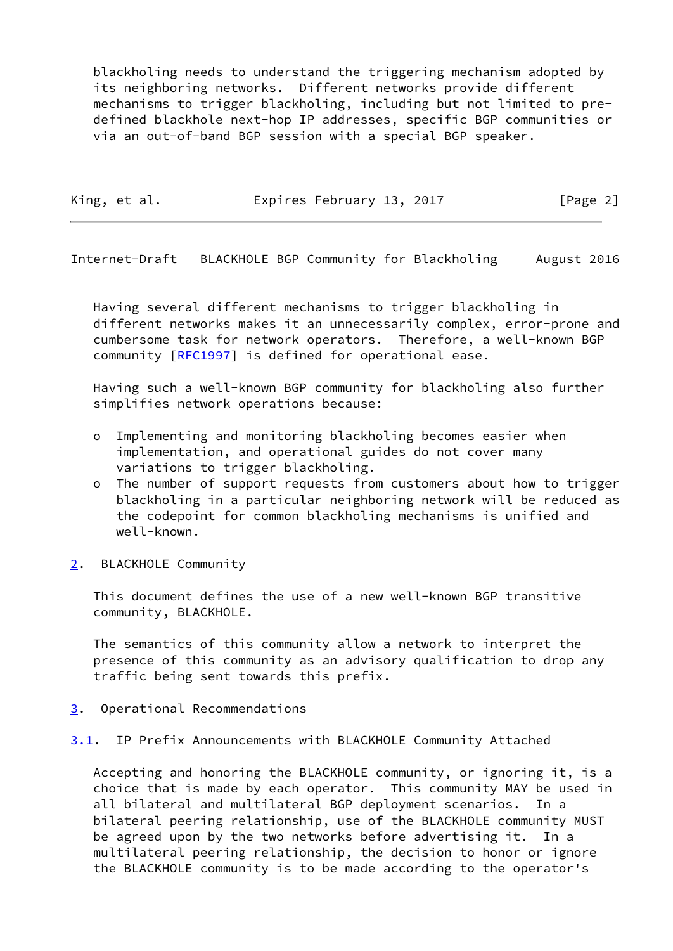blackholing needs to understand the triggering mechanism adopted by its neighboring networks. Different networks provide different mechanisms to trigger blackholing, including but not limited to pre defined blackhole next-hop IP addresses, specific BGP communities or via an out-of-band BGP session with a special BGP speaker.

| King, et al. | Expires February 13, 2017 | [Page 2] |
|--------------|---------------------------|----------|
|              |                           |          |

<span id="page-2-1"></span>Internet-Draft BLACKHOLE BGP Community for Blackholing August 2016

 Having several different mechanisms to trigger blackholing in different networks makes it an unnecessarily complex, error-prone and cumbersome task for network operators. Therefore, a well-known BGP community [[RFC1997](https://datatracker.ietf.org/doc/pdf/rfc1997)] is defined for operational ease.

 Having such a well-known BGP community for blackholing also further simplifies network operations because:

- o Implementing and monitoring blackholing becomes easier when implementation, and operational guides do not cover many variations to trigger blackholing.
- o The number of support requests from customers about how to trigger blackholing in a particular neighboring network will be reduced as the codepoint for common blackholing mechanisms is unified and well-known.
- <span id="page-2-0"></span>[2](#page-2-0). BLACKHOLE Community

 This document defines the use of a new well-known BGP transitive community, BLACKHOLE.

 The semantics of this community allow a network to interpret the presence of this community as an advisory qualification to drop any traffic being sent towards this prefix.

<span id="page-2-2"></span>[3](#page-2-2). Operational Recommendations

<span id="page-2-3"></span>[3.1](#page-2-3). IP Prefix Announcements with BLACKHOLE Community Attached

 Accepting and honoring the BLACKHOLE community, or ignoring it, is a choice that is made by each operator. This community MAY be used in all bilateral and multilateral BGP deployment scenarios. In a bilateral peering relationship, use of the BLACKHOLE community MUST be agreed upon by the two networks before advertising it. In a multilateral peering relationship, the decision to honor or ignore the BLACKHOLE community is to be made according to the operator's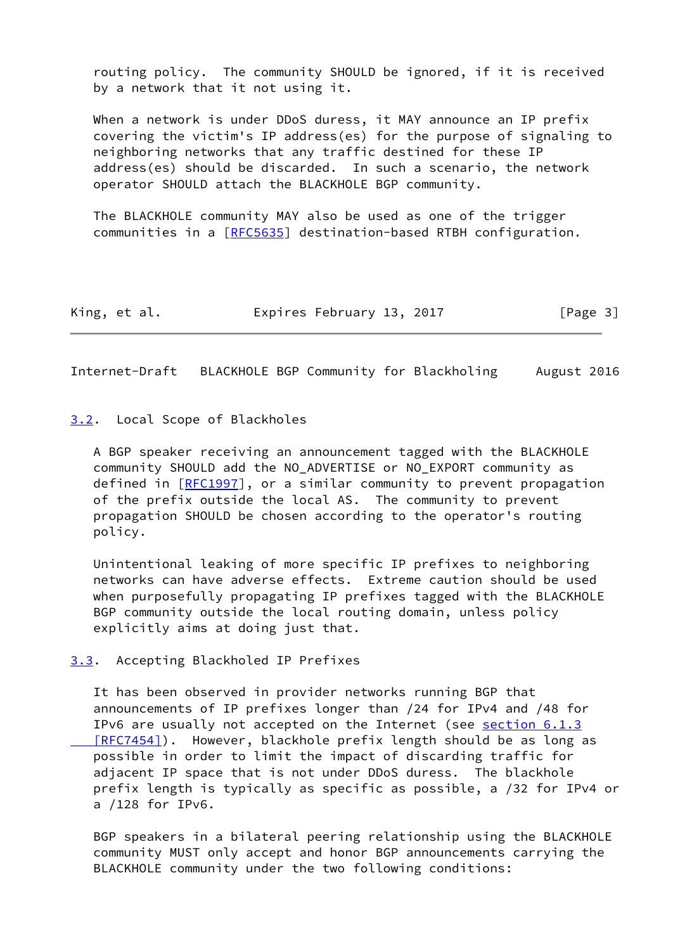routing policy. The community SHOULD be ignored, if it is received by a network that it not using it.

 When a network is under DDoS duress, it MAY announce an IP prefix covering the victim's IP address(es) for the purpose of signaling to neighboring networks that any traffic destined for these IP address(es) should be discarded. In such a scenario, the network operator SHOULD attach the BLACKHOLE BGP community.

 The BLACKHOLE community MAY also be used as one of the trigger communities in a [\[RFC5635](https://datatracker.ietf.org/doc/pdf/rfc5635)] destination-based RTBH configuration.

King, et al. Expires February 13, 2017 [Page 3]

<span id="page-3-1"></span>Internet-Draft BLACKHOLE BGP Community for Blackholing August 2016

### <span id="page-3-0"></span>[3.2](#page-3-0). Local Scope of Blackholes

 A BGP speaker receiving an announcement tagged with the BLACKHOLE community SHOULD add the NO\_ADVERTISE or NO\_EXPORT community as defined in [[RFC1997\]](https://datatracker.ietf.org/doc/pdf/rfc1997), or a similar community to prevent propagation of the prefix outside the local AS. The community to prevent propagation SHOULD be chosen according to the operator's routing policy.

 Unintentional leaking of more specific IP prefixes to neighboring networks can have adverse effects. Extreme caution should be used when purposefully propagating IP prefixes tagged with the BLACKHOLE BGP community outside the local routing domain, unless policy explicitly aims at doing just that.

<span id="page-3-2"></span>[3.3](#page-3-2). Accepting Blackholed IP Prefixes

 It has been observed in provider networks running BGP that announcements of IP prefixes longer than /24 for IPv4 and /48 for IPv6 are usually not accepted on the Internet (see [section](https://datatracker.ietf.org/doc/pdf/rfc7454#section-6.1.3) 6.1.3 [RFC7454]). However, blackhole prefix length should be as long as possible in order to limit the impact of discarding traffic for adjacent IP space that is not under DDoS duress. The blackhole prefix length is typically as specific as possible, a /32 for IPv4 or a /128 for IPv6.

 BGP speakers in a bilateral peering relationship using the BLACKHOLE community MUST only accept and honor BGP announcements carrying the BLACKHOLE community under the two following conditions: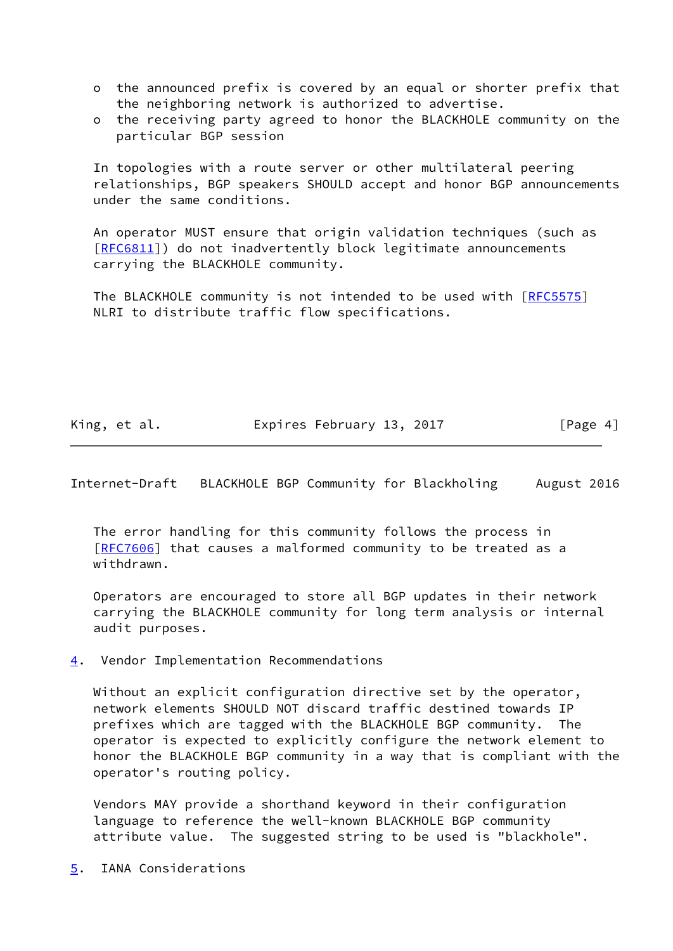- o the announced prefix is covered by an equal or shorter prefix that the neighboring network is authorized to advertise.
- o the receiving party agreed to honor the BLACKHOLE community on the particular BGP session

 In topologies with a route server or other multilateral peering relationships, BGP speakers SHOULD accept and honor BGP announcements under the same conditions.

 An operator MUST ensure that origin validation techniques (such as [\[RFC6811](https://datatracker.ietf.org/doc/pdf/rfc6811)]) do not inadvertently block legitimate announcements carrying the BLACKHOLE community.

The BLACKHOLE community is not intended to be used with [\[RFC5575](https://datatracker.ietf.org/doc/pdf/rfc5575)] NLRI to distribute traffic flow specifications.

King, et al. **Expires February 13, 2017** [Page 4]

<span id="page-4-1"></span>Internet-Draft BLACKHOLE BGP Community for Blackholing August 2016

 The error handling for this community follows the process in [\[RFC7606](https://datatracker.ietf.org/doc/pdf/rfc7606)] that causes a malformed community to be treated as a withdrawn.

 Operators are encouraged to store all BGP updates in their network carrying the BLACKHOLE community for long term analysis or internal audit purposes.

<span id="page-4-0"></span>[4](#page-4-0). Vendor Implementation Recommendations

 Without an explicit configuration directive set by the operator, network elements SHOULD NOT discard traffic destined towards IP prefixes which are tagged with the BLACKHOLE BGP community. The operator is expected to explicitly configure the network element to honor the BLACKHOLE BGP community in a way that is compliant with the operator's routing policy.

 Vendors MAY provide a shorthand keyword in their configuration language to reference the well-known BLACKHOLE BGP community attribute value. The suggested string to be used is "blackhole".

<span id="page-4-2"></span>[5](#page-4-2). IANA Considerations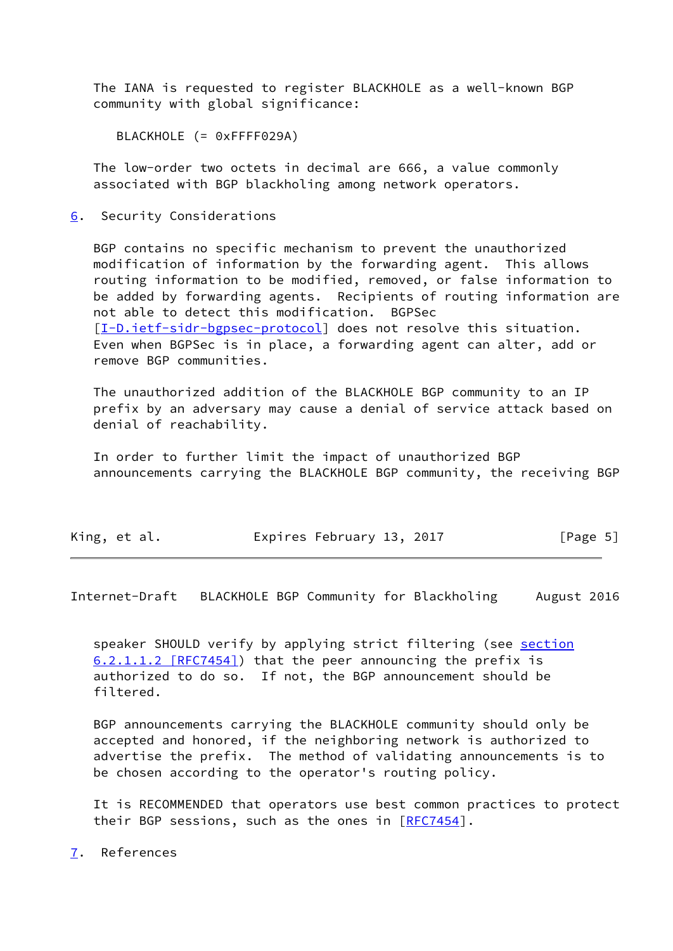The IANA is requested to register BLACKHOLE as a well-known BGP community with global significance:

BLACKHOLE (= 0xFFFF029A)

 The low-order two octets in decimal are 666, a value commonly associated with BGP blackholing among network operators.

<span id="page-5-0"></span>[6](#page-5-0). Security Considerations

 BGP contains no specific mechanism to prevent the unauthorized modification of information by the forwarding agent. This allows routing information to be modified, removed, or false information to be added by forwarding agents. Recipients of routing information are not able to detect this modification. BGPSec [\[I-D.ietf-sidr-bgpsec-protocol](#page-6-3)] does not resolve this situation. Even when BGPSec is in place, a forwarding agent can alter, add or remove BGP communities.

 The unauthorized addition of the BLACKHOLE BGP community to an IP prefix by an adversary may cause a denial of service attack based on denial of reachability.

 In order to further limit the impact of unauthorized BGP announcements carrying the BLACKHOLE BGP community, the receiving BGP

| King, et al. | Expires February 13, 2017 | [Page 5] |
|--------------|---------------------------|----------|
|--------------|---------------------------|----------|

<span id="page-5-2"></span>Internet-Draft BLACKHOLE BGP Community for Blackholing August 2016

speaker SHOULD verify by applying strict filtering (see [section](https://datatracker.ietf.org/doc/pdf/rfc7454#section-6.2.1.1.2) [6.2.1.1.2 \[RFC7454\]](https://datatracker.ietf.org/doc/pdf/rfc7454#section-6.2.1.1.2)) that the peer announcing the prefix is authorized to do so. If not, the BGP announcement should be filtered.

 BGP announcements carrying the BLACKHOLE community should only be accepted and honored, if the neighboring network is authorized to advertise the prefix. The method of validating announcements is to be chosen according to the operator's routing policy.

 It is RECOMMENDED that operators use best common practices to protect their BGP sessions, such as the ones in  $[REC7454]$ .

<span id="page-5-1"></span>[7](#page-5-1). References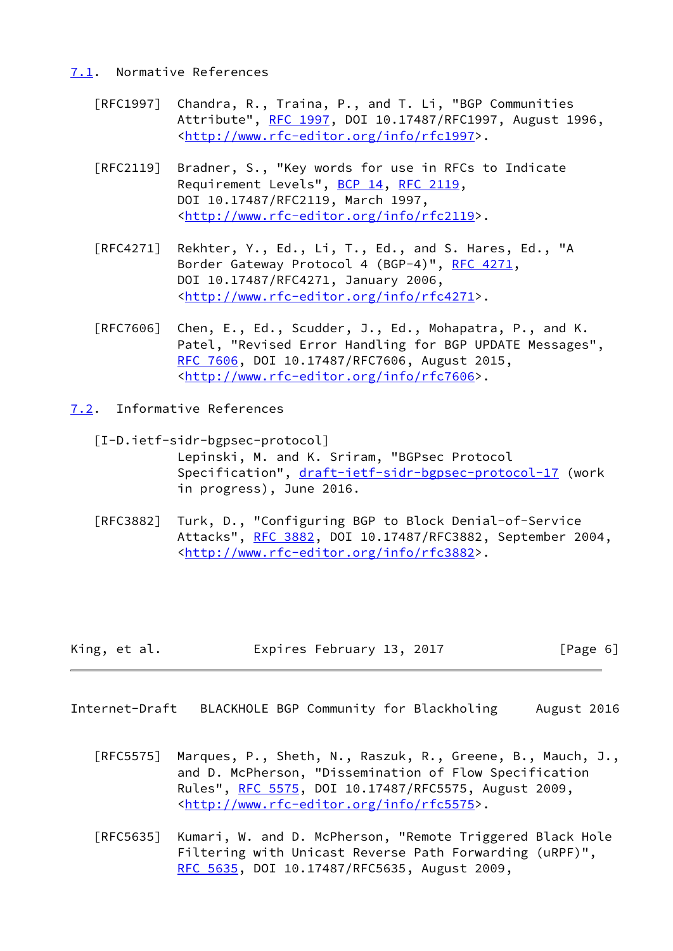### <span id="page-6-0"></span>[7.1](#page-6-0). Normative References

- [RFC1997] Chandra, R., Traina, P., and T. Li, "BGP Communities Attribute", [RFC 1997,](https://datatracker.ietf.org/doc/pdf/rfc1997) DOI 10.17487/RFC1997, August 1996, <<http://www.rfc-editor.org/info/rfc1997>>.
- [RFC2119] Bradner, S., "Key words for use in RFCs to Indicate Requirement Levels", [BCP 14](https://datatracker.ietf.org/doc/pdf/bcp14), [RFC 2119](https://datatracker.ietf.org/doc/pdf/rfc2119), DOI 10.17487/RFC2119, March 1997, <<http://www.rfc-editor.org/info/rfc2119>>.
- [RFC4271] Rekhter, Y., Ed., Li, T., Ed., and S. Hares, Ed., "A Border Gateway Protocol 4 (BGP-4)", [RFC 4271,](https://datatracker.ietf.org/doc/pdf/rfc4271) DOI 10.17487/RFC4271, January 2006, <<http://www.rfc-editor.org/info/rfc4271>>.
- [RFC7606] Chen, E., Ed., Scudder, J., Ed., Mohapatra, P., and K. Patel, "Revised Error Handling for BGP UPDATE Messages", [RFC 7606,](https://datatracker.ietf.org/doc/pdf/rfc7606) DOI 10.17487/RFC7606, August 2015, <<http://www.rfc-editor.org/info/rfc7606>>.
- <span id="page-6-3"></span><span id="page-6-1"></span>[7.2](#page-6-1). Informative References
	- [I-D.ietf-sidr-bgpsec-protocol] Lepinski, M. and K. Sriram, "BGPsec Protocol Specification", [draft-ietf-sidr-bgpsec-protocol-17](https://datatracker.ietf.org/doc/pdf/draft-ietf-sidr-bgpsec-protocol-17) (work in progress), June 2016.
	- [RFC3882] Turk, D., "Configuring BGP to Block Denial-of-Service Attacks", [RFC 3882](https://datatracker.ietf.org/doc/pdf/rfc3882), DOI 10.17487/RFC3882, September 2004, <<http://www.rfc-editor.org/info/rfc3882>>.

| King, et al. | Expires February 13, 2017 | [Page 6] |
|--------------|---------------------------|----------|
|--------------|---------------------------|----------|

- <span id="page-6-2"></span>Internet-Draft BLACKHOLE BGP Community for Blackholing August 2016
	- [RFC5575] Marques, P., Sheth, N., Raszuk, R., Greene, B., Mauch, J., and D. McPherson, "Dissemination of Flow Specification Rules", [RFC 5575,](https://datatracker.ietf.org/doc/pdf/rfc5575) DOI 10.17487/RFC5575, August 2009, <<http://www.rfc-editor.org/info/rfc5575>>.
	- [RFC5635] Kumari, W. and D. McPherson, "Remote Triggered Black Hole Filtering with Unicast Reverse Path Forwarding (uRPF)", [RFC 5635,](https://datatracker.ietf.org/doc/pdf/rfc5635) DOI 10.17487/RFC5635, August 2009,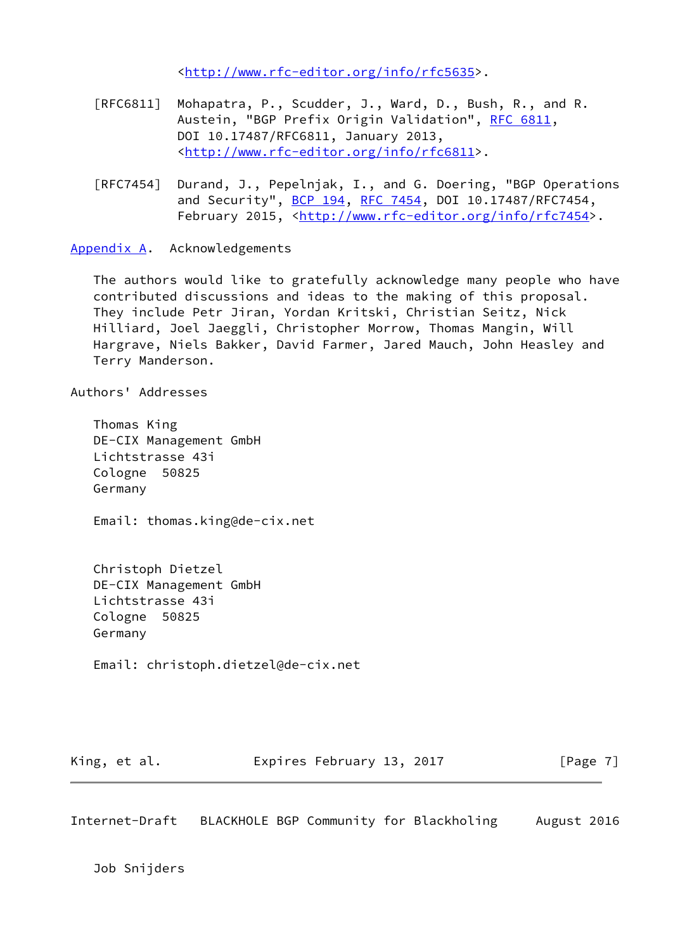<<http://www.rfc-editor.org/info/rfc5635>>.

- [RFC6811] Mohapatra, P., Scudder, J., Ward, D., Bush, R., and R. Austein, "BGP Prefix Origin Validation", [RFC 6811,](https://datatracker.ietf.org/doc/pdf/rfc6811) DOI 10.17487/RFC6811, January 2013, <<http://www.rfc-editor.org/info/rfc6811>>.
- [RFC7454] Durand, J., Pepelnjak, I., and G. Doering, "BGP Operations and Security", [BCP 194](https://datatracker.ietf.org/doc/pdf/bcp194), [RFC 7454,](https://datatracker.ietf.org/doc/pdf/rfc7454) DOI 10.17487/RFC7454, February 2015, <<http://www.rfc-editor.org/info/rfc7454>>.

<span id="page-7-0"></span>[Appendix A.](#page-7-0) Acknowledgements

 The authors would like to gratefully acknowledge many people who have contributed discussions and ideas to the making of this proposal. They include Petr Jiran, Yordan Kritski, Christian Seitz, Nick Hilliard, Joel Jaeggli, Christopher Morrow, Thomas Mangin, Will Hargrave, Niels Bakker, David Farmer, Jared Mauch, John Heasley and Terry Manderson.

Authors' Addresses

 Thomas King DE-CIX Management GmbH Lichtstrasse 43i Cologne 50825 Germany

Email: thomas.king@de-cix.net

 Christoph Dietzel DE-CIX Management GmbH Lichtstrasse 43i Cologne 50825 Germany

Email: christoph.dietzel@de-cix.net

King, et al. **Expires February 13, 2017** [Page 7]

Internet-Draft BLACKHOLE BGP Community for Blackholing August 2016

Job Snijders